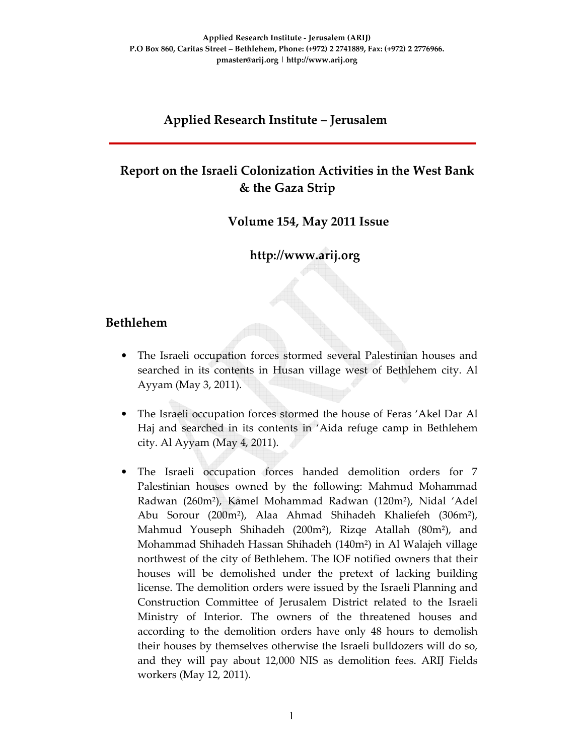#### **Applied Research Institute – Jerusalem**

## **Report on the Israeli Colonization Activities in the West Bank & the Gaza Strip**

 **Volume 154, May 2011 Issue** 

 **http://www.arij.org** 

#### **Bethlehem**

- The Israeli occupation forces stormed several Palestinian houses and searched in its contents in Husan village west of Bethlehem city. Al Ayyam (May 3, 2011).
- The Israeli occupation forces stormed the house of Feras 'Akel Dar Al Haj and searched in its contents in 'Aida refuge camp in Bethlehem city. Al Ayyam (May 4, 2011).
- The Israeli occupation forces handed demolition orders for 7 Palestinian houses owned by the following: Mahmud Mohammad Radwan (260m²), Kamel Mohammad Radwan (120m²), Nidal 'Adel Abu Sorour (200m²), Alaa Ahmad Shihadeh Khaliefeh (306m²), Mahmud Youseph Shihadeh (200m²), Rizqe Atallah (80m²), and Mohammad Shihadeh Hassan Shihadeh (140m²) in Al Walajeh village northwest of the city of Bethlehem. The IOF notified owners that their houses will be demolished under the pretext of lacking building license. The demolition orders were issued by the Israeli Planning and Construction Committee of Jerusalem District related to the Israeli Ministry of Interior. The owners of the threatened houses and according to the demolition orders have only 48 hours to demolish their houses by themselves otherwise the Israeli bulldozers will do so, and they will pay about 12,000 NIS as demolition fees. ARIJ Fields workers (May 12, 2011).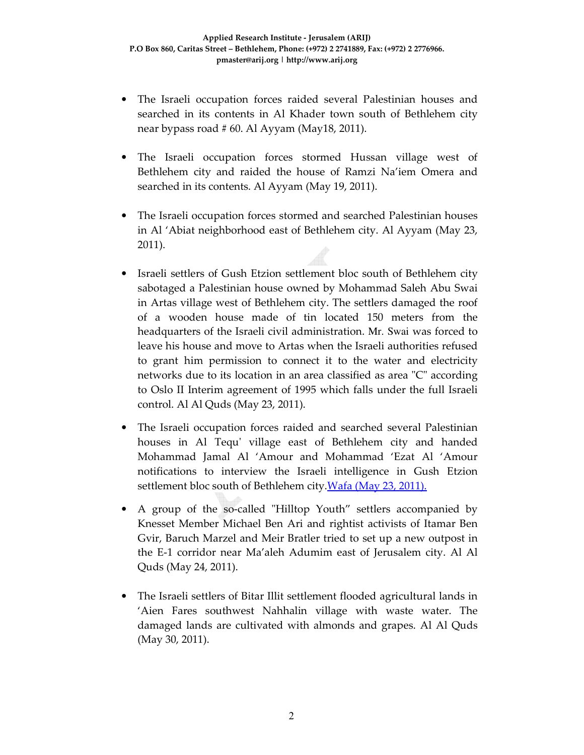- The Israeli occupation forces raided several Palestinian houses and searched in its contents in Al Khader town south of Bethlehem city near bypass road # 60. Al Ayyam (May18, 2011).
- The Israeli occupation forces stormed Hussan village west of Bethlehem city and raided the house of Ramzi Na'iem Omera and searched in its contents. Al Ayyam (May 19, 2011).
- The Israeli occupation forces stormed and searched Palestinian houses in Al 'Abiat neighborhood east of Bethlehem city. Al Ayyam (May 23, 2011).
- Israeli settlers of Gush Etzion settlement bloc south of Bethlehem city sabotaged a Palestinian house owned by Mohammad Saleh Abu Swai in Artas village west of Bethlehem city. The settlers damaged the roof of a wooden house made of tin located 150 meters from the headquarters of the Israeli civil administration. Mr. Swai was forced to leave his house and move to Artas when the Israeli authorities refused to grant him permission to connect it to the water and electricity networks due to its location in an area classified as area "C" according to Oslo II Interim agreement of 1995 which falls under the full Israeli control. Al Al Quds (May 23, 2011).
- The Israeli occupation forces raided and searched several Palestinian houses in Al Tequ' village east of Bethlehem city and handed Mohammad Jamal Al 'Amour and Mohammad 'Ezat Al 'Amour notifications to interview the Israeli intelligence in Gush Etzion settlement bloc south of Bethlehem city. Wafa (May 23, 2011).
- A group of the so-called "Hilltop Youth" settlers accompanied by Knesset Member Michael Ben Ari and rightist activists of Itamar Ben Gvir, Baruch Marzel and Meir Bratler tried to set up a new outpost in the E-1 corridor near Ma'aleh Adumim east of Jerusalem city. Al Al Quds (May 24, 2011).
- The Israeli settlers of Bitar Illit settlement flooded agricultural lands in 'Aien Fares southwest Nahhalin village with waste water. The damaged lands are cultivated with almonds and grapes. Al Al Quds (May 30, 2011).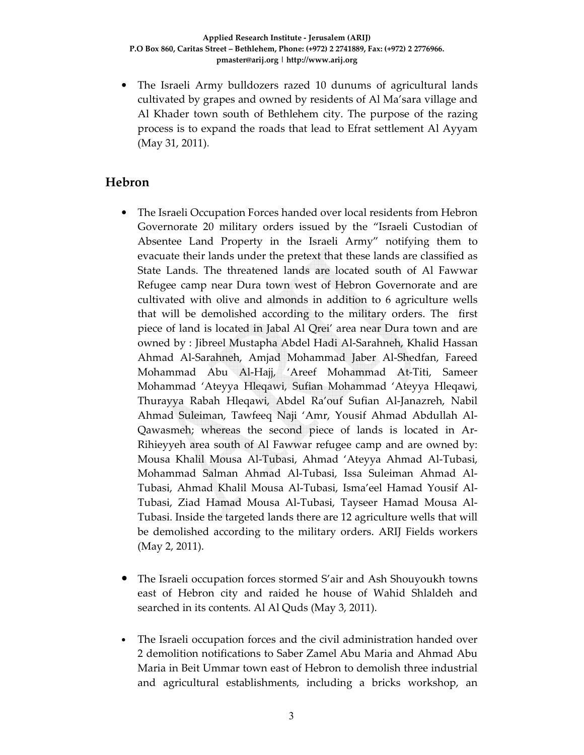• The Israeli Army bulldozers razed 10 dunums of agricultural lands cultivated by grapes and owned by residents of Al Ma'sara village and Al Khader town south of Bethlehem city. The purpose of the razing process is to expand the roads that lead to Efrat settlement Al Ayyam (May 31, 2011).

#### **Hebron**

- The Israeli Occupation Forces handed over local residents from Hebron Governorate 20 military orders issued by the "Israeli Custodian of Absentee Land Property in the Israeli Army" notifying them to evacuate their lands under the pretext that these lands are classified as State Lands. The threatened lands are located south of Al Fawwar Refugee camp near Dura town west of Hebron Governorate and are cultivated with olive and almonds in addition to 6 agriculture wells that will be demolished according to the military orders. The first piece of land is located in Jabal Al Qrei' area near Dura town and are owned by : Jibreel Mustapha Abdel Hadi Al-Sarahneh, Khalid Hassan Ahmad Al-Sarahneh, Amjad Mohammad Jaber Al-Shedfan, Fareed Mohammad Abu Al-Hajj, 'Areef Mohammad At-Titi, Sameer Mohammad 'Ateyya Hleqawi, Sufian Mohammad 'Ateyya Hleqawi, Thurayya Rabah Hleqawi, Abdel Ra'ouf Sufian Al-Janazreh, Nabil Ahmad Suleiman, Tawfeeq Naji 'Amr, Yousif Ahmad Abdullah Al-Qawasmeh; whereas the second piece of lands is located in Ar-Rihieyyeh area south of Al Fawwar refugee camp and are owned by: Mousa Khalil Mousa Al-Tubasi, Ahmad 'Ateyya Ahmad Al-Tubasi, Mohammad Salman Ahmad Al-Tubasi, Issa Suleiman Ahmad Al-Tubasi, Ahmad Khalil Mousa Al-Tubasi, Isma'eel Hamad Yousif Al-Tubasi, Ziad Hamad Mousa Al-Tubasi, Tayseer Hamad Mousa Al-Tubasi. Inside the targeted lands there are 12 agriculture wells that will be demolished according to the military orders. ARIJ Fields workers (May 2, 2011).
- The Israeli occupation forces stormed S'air and Ash Shouyoukh towns east of Hebron city and raided he house of Wahid Shlaldeh and searched in its contents. Al Al Quds (May 3, 2011).
- The Israeli occupation forces and the civil administration handed over 2 demolition notifications to Saber Zamel Abu Maria and Ahmad Abu Maria in Beit Ummar town east of Hebron to demolish three industrial and agricultural establishments, including a bricks workshop, an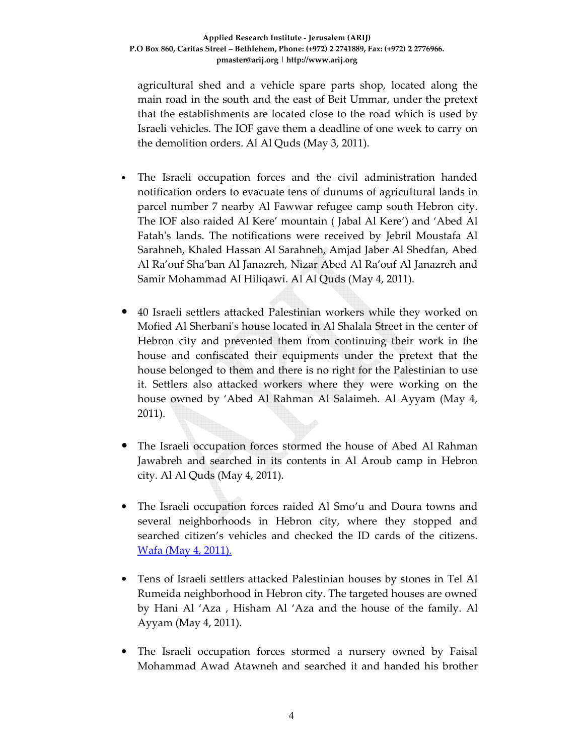agricultural shed and a vehicle spare parts shop, located along the main road in the south and the east of Beit Ummar, under the pretext that the establishments are located close to the road which is used by Israeli vehicles. The IOF gave them a deadline of one week to carry on the demolition orders. Al Al Quds (May 3, 2011).

- The Israeli occupation forces and the civil administration handed notification orders to evacuate tens of dunums of agricultural lands in parcel number 7 nearby Al Fawwar refugee camp south Hebron city. The IOF also raided Al Kere' mountain ( Jabal Al Kere') and 'Abed Al Fatah's lands. The notifications were received by Jebril Moustafa Al Sarahneh, Khaled Hassan Al Sarahneh, Amjad Jaber Al Shedfan, Abed Al Ra'ouf Sha'ban Al Janazreh, Nizar Abed Al Ra'ouf Al Janazreh and Samir Mohammad Al Hiliqawi. Al Al Quds (May 4, 2011).
- 40 Israeli settlers attacked Palestinian workers while they worked on Mofied Al Sherbani's house located in Al Shalala Street in the center of Hebron city and prevented them from continuing their work in the house and confiscated their equipments under the pretext that the house belonged to them and there is no right for the Palestinian to use it. Settlers also attacked workers where they were working on the house owned by 'Abed Al Rahman Al Salaimeh. Al Ayyam (May 4, 2011).
- The Israeli occupation forces stormed the house of Abed Al Rahman Jawabreh and searched in its contents in Al Aroub camp in Hebron city. Al Al Quds (May 4, 2011).
- The Israeli occupation forces raided Al Smo'u and Doura towns and several neighborhoods in Hebron city, where they stopped and searched citizen's vehicles and checked the ID cards of the citizens. Wafa (May 4, 2011).
- Tens of Israeli settlers attacked Palestinian houses by stones in Tel Al Rumeida neighborhood in Hebron city. The targeted houses are owned by Hani Al 'Aza , Hisham Al 'Aza and the house of the family. Al Ayyam (May 4, 2011).
- The Israeli occupation forces stormed a nursery owned by Faisal Mohammad Awad Atawneh and searched it and handed his brother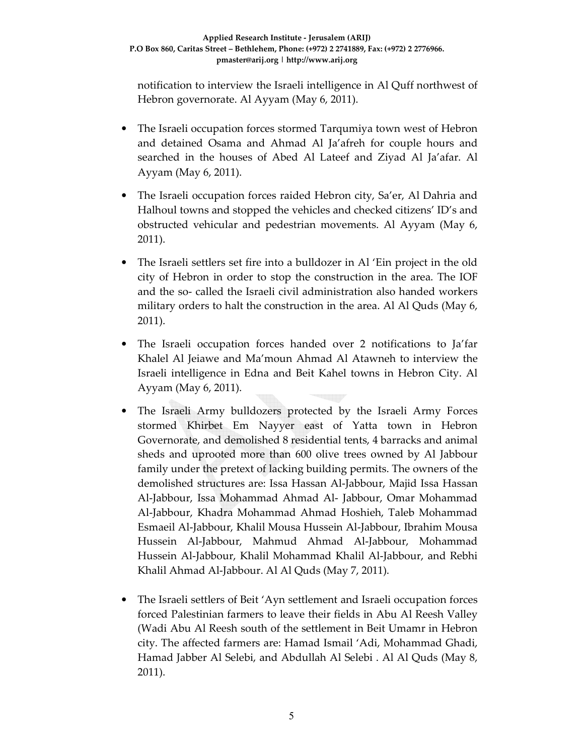notification to interview the Israeli intelligence in Al Quff northwest of Hebron governorate. Al Ayyam (May 6, 2011).

- The Israeli occupation forces stormed Tarqumiya town west of Hebron and detained Osama and Ahmad Al Ja'afreh for couple hours and searched in the houses of Abed Al Lateef and Ziyad Al Ja'afar. Al Ayyam (May 6, 2011).
- The Israeli occupation forces raided Hebron city, Sa'er, Al Dahria and Halhoul towns and stopped the vehicles and checked citizens' ID's and obstructed vehicular and pedestrian movements. Al Ayyam (May 6, 2011).
- The Israeli settlers set fire into a bulldozer in Al 'Ein project in the old city of Hebron in order to stop the construction in the area. The IOF and the so- called the Israeli civil administration also handed workers military orders to halt the construction in the area. Al Al Quds (May 6, 2011).
- The Israeli occupation forces handed over 2 notifications to Ja'far Khalel Al Jeiawe and Ma'moun Ahmad Al Atawneh to interview the Israeli intelligence in Edna and Beit Kahel towns in Hebron City. Al Ayyam (May 6, 2011).
- The Israeli Army bulldozers protected by the Israeli Army Forces stormed Khirbet Em Nayyer east of Yatta town in Hebron Governorate, and demolished 8 residential tents, 4 barracks and animal sheds and uprooted more than 600 olive trees owned by Al Jabbour family under the pretext of lacking building permits. The owners of the demolished structures are: Issa Hassan Al-Jabbour, Majid Issa Hassan Al-Jabbour, Issa Mohammad Ahmad Al- Jabbour, Omar Mohammad Al-Jabbour, Khadra Mohammad Ahmad Hoshieh, Taleb Mohammad Esmaeil Al-Jabbour, Khalil Mousa Hussein Al-Jabbour, Ibrahim Mousa Hussein Al-Jabbour, Mahmud Ahmad Al-Jabbour, Mohammad Hussein Al-Jabbour, Khalil Mohammad Khalil Al-Jabbour, and Rebhi Khalil Ahmad Al-Jabbour. Al Al Quds (May 7, 2011).
- The Israeli settlers of Beit 'Ayn settlement and Israeli occupation forces forced Palestinian farmers to leave their fields in Abu Al Reesh Valley (Wadi Abu Al Reesh south of the settlement in Beit Umamr in Hebron city. The affected farmers are: Hamad Ismail 'Adi, Mohammad Ghadi, Hamad Jabber Al Selebi, and Abdullah Al Selebi . Al Al Quds (May 8, 2011).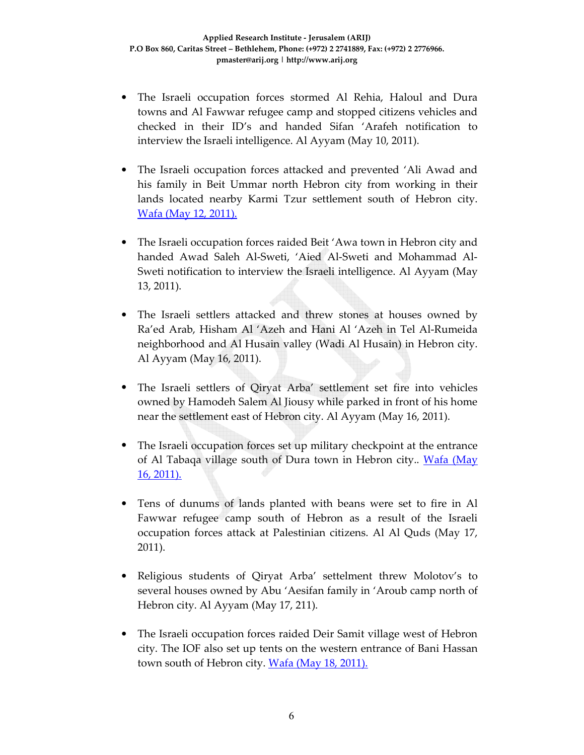- The Israeli occupation forces stormed Al Rehia, Haloul and Dura towns and Al Fawwar refugee camp and stopped citizens vehicles and checked in their ID's and handed Sifan 'Arafeh notification to interview the Israeli intelligence. Al Ayyam (May 10, 2011).
- The Israeli occupation forces attacked and prevented 'Ali Awad and his family in Beit Ummar north Hebron city from working in their lands located nearby Karmi Tzur settlement south of Hebron city. Wafa (May 12, 2011).
- The Israeli occupation forces raided Beit 'Awa town in Hebron city and handed Awad Saleh Al-Sweti, 'Aied Al-Sweti and Mohammad Al-Sweti notification to interview the Israeli intelligence. Al Ayyam (May 13, 2011).
- The Israeli settlers attacked and threw stones at houses owned by Ra'ed Arab, Hisham Al 'Azeh and Hani Al 'Azeh in Tel Al-Rumeida neighborhood and Al Husain valley (Wadi Al Husain) in Hebron city. Al Ayyam (May 16, 2011).
- The Israeli settlers of Qiryat Arba' settlement set fire into vehicles owned by Hamodeh Salem Al Jiousy while parked in front of his home near the settlement east of Hebron city. Al Ayyam (May 16, 2011).
- The Israeli occupation forces set up military checkpoint at the entrance of Al Tabaqa village south of Dura town in Hebron city.. Wafa (May 16, 2011).
- Tens of dunums of lands planted with beans were set to fire in Al Fawwar refugee camp south of Hebron as a result of the Israeli occupation forces attack at Palestinian citizens. Al Al Quds (May 17, 2011).
- Religious students of Qiryat Arba' settelment threw Molotov's to several houses owned by Abu 'Aesifan family in 'Aroub camp north of Hebron city. Al Ayyam (May 17, 211).
- The Israeli occupation forces raided Deir Samit village west of Hebron city. The IOF also set up tents on the western entrance of Bani Hassan town south of Hebron city. Wafa (May 18, 2011).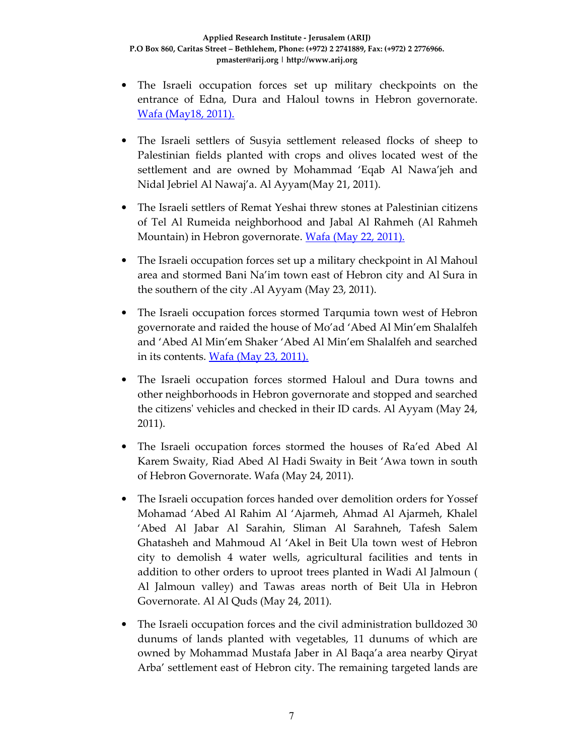- The Israeli occupation forces set up military checkpoints on the entrance of Edna, Dura and Haloul towns in Hebron governorate. Wafa (May18, 2011).
- The Israeli settlers of Susyia settlement released flocks of sheep to Palestinian fields planted with crops and olives located west of the settlement and are owned by Mohammad 'Eqab Al Nawa'jeh and Nidal Jebriel Al Nawaj'a. Al Ayyam(May 21, 2011).
- The Israeli settlers of Remat Yeshai threw stones at Palestinian citizens of Tel Al Rumeida neighborhood and Jabal Al Rahmeh (Al Rahmeh Mountain) in Hebron governorate. Wafa (May 22, 2011).
- The Israeli occupation forces set up a military checkpoint in Al Mahoul area and stormed Bani Na'im town east of Hebron city and Al Sura in the southern of the city .Al Ayyam (May 23, 2011).
- The Israeli occupation forces stormed Tarqumia town west of Hebron governorate and raided the house of Mo'ad 'Abed Al Min'em Shalalfeh and 'Abed Al Min'em Shaker 'Abed Al Min'em Shalalfeh and searched in its contents. Wafa (May 23, 2011).
- The Israeli occupation forces stormed Haloul and Dura towns and other neighborhoods in Hebron governorate and stopped and searched the citizens' vehicles and checked in their ID cards. Al Ayyam (May 24, 2011).
- The Israeli occupation forces stormed the houses of Ra'ed Abed Al Karem Swaity, Riad Abed Al Hadi Swaity in Beit 'Awa town in south of Hebron Governorate. Wafa (May 24, 2011).
- The Israeli occupation forces handed over demolition orders for Yossef Mohamad 'Abed Al Rahim Al 'Ajarmeh, Ahmad Al Ajarmeh, Khalel 'Abed Al Jabar Al Sarahin, Sliman Al Sarahneh, Tafesh Salem Ghatasheh and Mahmoud Al 'Akel in Beit Ula town west of Hebron city to demolish 4 water wells, agricultural facilities and tents in addition to other orders to uproot trees planted in Wadi Al Jalmoun ( Al Jalmoun valley) and Tawas areas north of Beit Ula in Hebron Governorate. Al Al Quds (May 24, 2011).
- The Israeli occupation forces and the civil administration bulldozed 30 dunums of lands planted with vegetables, 11 dunums of which are owned by Mohammad Mustafa Jaber in Al Baqa'a area nearby Qiryat Arba' settlement east of Hebron city. The remaining targeted lands are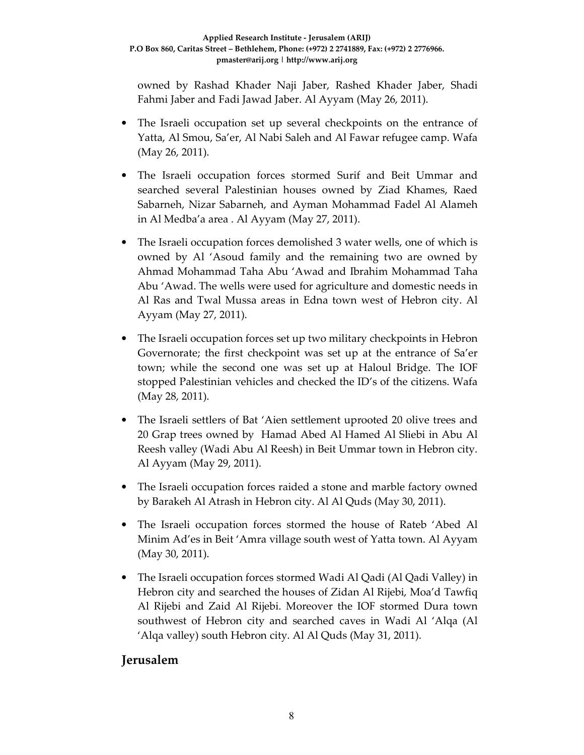owned by Rashad Khader Naji Jaber, Rashed Khader Jaber, Shadi Fahmi Jaber and Fadi Jawad Jaber. Al Ayyam (May 26, 2011).

- The Israeli occupation set up several checkpoints on the entrance of Yatta, Al Smou, Sa'er, Al Nabi Saleh and Al Fawar refugee camp. Wafa (May 26, 2011).
- The Israeli occupation forces stormed Surif and Beit Ummar and searched several Palestinian houses owned by Ziad Khames, Raed Sabarneh, Nizar Sabarneh, and Ayman Mohammad Fadel Al Alameh in Al Medba'a area . Al Ayyam (May 27, 2011).
- The Israeli occupation forces demolished 3 water wells, one of which is owned by Al 'Asoud family and the remaining two are owned by Ahmad Mohammad Taha Abu 'Awad and Ibrahim Mohammad Taha Abu 'Awad. The wells were used for agriculture and domestic needs in Al Ras and Twal Mussa areas in Edna town west of Hebron city. Al Ayyam (May 27, 2011).
- The Israeli occupation forces set up two military checkpoints in Hebron Governorate; the first checkpoint was set up at the entrance of Sa'er town; while the second one was set up at Haloul Bridge. The IOF stopped Palestinian vehicles and checked the ID's of the citizens. Wafa (May 28, 2011).
- The Israeli settlers of Bat 'Aien settlement uprooted 20 olive trees and 20 Grap trees owned by Hamad Abed Al Hamed Al Sliebi in Abu Al Reesh valley (Wadi Abu Al Reesh) in Beit Ummar town in Hebron city. Al Ayyam (May 29, 2011).
- The Israeli occupation forces raided a stone and marble factory owned by Barakeh Al Atrash in Hebron city. Al Al Quds (May 30, 2011).
- The Israeli occupation forces stormed the house of Rateb 'Abed Al Minim Ad'es in Beit 'Amra village south west of Yatta town. Al Ayyam (May 30, 2011).
- The Israeli occupation forces stormed Wadi Al Qadi (Al Qadi Valley) in Hebron city and searched the houses of Zidan Al Rijebi, Moa'd Tawfiq Al Rijebi and Zaid Al Rijebi. Moreover the IOF stormed Dura town southwest of Hebron city and searched caves in Wadi Al 'Alqa (Al 'Alqa valley) south Hebron city. Al Al Quds (May 31, 2011).

#### **Jerusalem**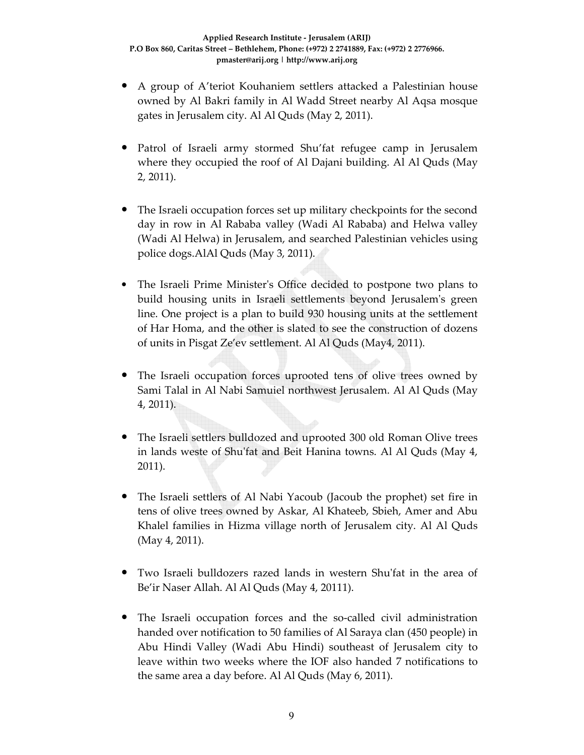- A group of A'teriot Kouhaniem settlers attacked a Palestinian house owned by Al Bakri family in Al Wadd Street nearby Al Aqsa mosque gates in Jerusalem city. Al Al Quds (May 2, 2011).
- Patrol of Israeli army stormed Shu'fat refugee camp in Jerusalem where they occupied the roof of Al Dajani building. Al Al Quds (May 2, 2011).
- The Israeli occupation forces set up military checkpoints for the second day in row in Al Rababa valley (Wadi Al Rababa) and Helwa valley (Wadi Al Helwa) in Jerusalem, and searched Palestinian vehicles using police dogs.AlAl Quds (May 3, 2011).
- The Israeli Prime Minister's Office decided to postpone two plans to build housing units in Israeli settlements beyond Jerusalem's green line. One project is a plan to build 930 housing units at the settlement of Har Homa, and the other is slated to see the construction of dozens of units in Pisgat Ze'ev settlement. Al Al Quds (May4, 2011).
- The Israeli occupation forces uprooted tens of olive trees owned by Sami Talal in Al Nabi Samuiel northwest Jerusalem. Al Al Quds (May 4, 2011).
- The Israeli settlers bulldozed and uprooted 300 old Roman Olive trees in lands weste of Shu'fat and Beit Hanina towns. Al Al Quds (May 4, 2011).
- The Israeli settlers of Al Nabi Yacoub (Jacoub the prophet) set fire in tens of olive trees owned by Askar, Al Khateeb, Sbieh, Amer and Abu Khalel families in Hizma village north of Jerusalem city. Al Al Quds (May 4, 2011).
- Two Israeli bulldozers razed lands in western Shu'fat in the area of Be'ir Naser Allah. Al Al Quds (May 4, 20111).
- The Israeli occupation forces and the so-called civil administration handed over notification to 50 families of Al Saraya clan (450 people) in Abu Hindi Valley (Wadi Abu Hindi) southeast of Jerusalem city to leave within two weeks where the IOF also handed 7 notifications to the same area a day before. Al Al Quds (May 6, 2011).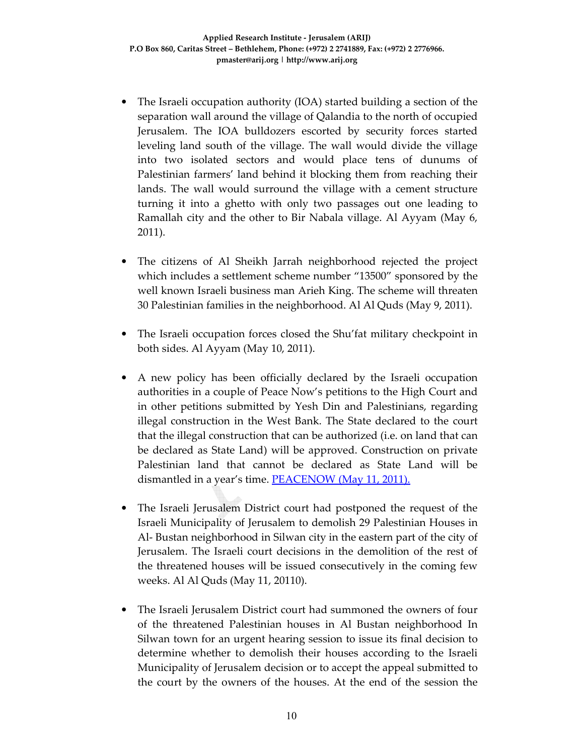- The Israeli occupation authority (IOA) started building a section of the separation wall around the village of Qalandia to the north of occupied Jerusalem. The IOA bulldozers escorted by security forces started leveling land south of the village. The wall would divide the village into two isolated sectors and would place tens of dunums of Palestinian farmers' land behind it blocking them from reaching their lands. The wall would surround the village with a cement structure turning it into a ghetto with only two passages out one leading to Ramallah city and the other to Bir Nabala village. Al Ayyam (May 6, 2011).
- The citizens of Al Sheikh Jarrah neighborhood rejected the project which includes a settlement scheme number "13500" sponsored by the well known Israeli business man Arieh King. The scheme will threaten 30 Palestinian families in the neighborhood. Al Al Quds (May 9, 2011).
- The Israeli occupation forces closed the Shu'fat military checkpoint in both sides. Al Ayyam (May 10, 2011).
- A new policy has been officially declared by the Israeli occupation authorities in a couple of Peace Now's petitions to the High Court and in other petitions submitted by Yesh Din and Palestinians, regarding illegal construction in the West Bank. The State declared to the court that the illegal construction that can be authorized (i.e. on land that can be declared as State Land) will be approved. Construction on private Palestinian land that cannot be declared as State Land will be dismantled in a year's time. **PEACENOW** (May 11, 2011).
- The Israeli Jerusalem District court had postponed the request of the Israeli Municipality of Jerusalem to demolish 29 Palestinian Houses in Al- Bustan neighborhood in Silwan city in the eastern part of the city of Jerusalem. The Israeli court decisions in the demolition of the rest of the threatened houses will be issued consecutively in the coming few weeks. Al Al Quds (May 11, 20110).
- The Israeli Jerusalem District court had summoned the owners of four of the threatened Palestinian houses in Al Bustan neighborhood In Silwan town for an urgent hearing session to issue its final decision to determine whether to demolish their houses according to the Israeli Municipality of Jerusalem decision or to accept the appeal submitted to the court by the owners of the houses. At the end of the session the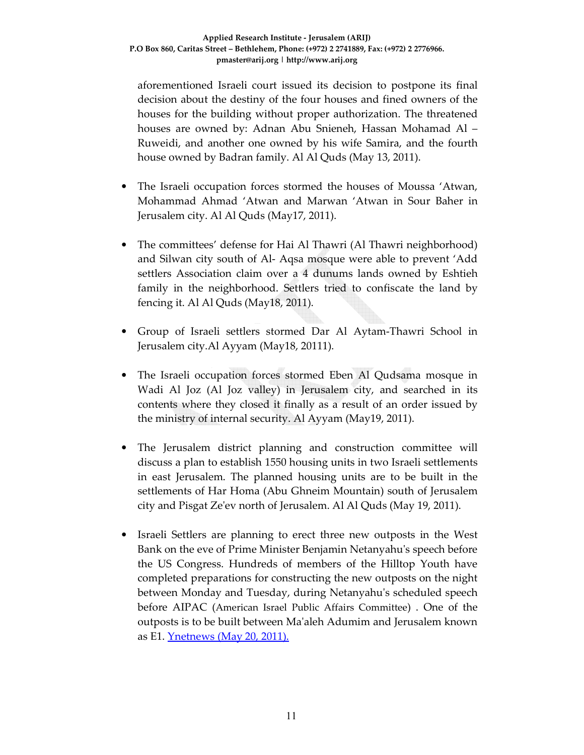aforementioned Israeli court issued its decision to postpone its final decision about the destiny of the four houses and fined owners of the houses for the building without proper authorization. The threatened houses are owned by: Adnan Abu Snieneh, Hassan Mohamad Al – Ruweidi, and another one owned by his wife Samira, and the fourth house owned by Badran family. Al Al Quds (May 13, 2011).

- The Israeli occupation forces stormed the houses of Moussa 'Atwan, Mohammad Ahmad 'Atwan and Marwan 'Atwan in Sour Baher in Jerusalem city. Al Al Quds (May17, 2011).
- The committees' defense for Hai Al Thawri (Al Thawri neighborhood) and Silwan city south of Al- Aqsa mosque were able to prevent 'Add settlers Association claim over a 4 dunums lands owned by Eshtieh family in the neighborhood. Settlers tried to confiscate the land by fencing it. Al Al Quds (May18, 2011).
- Group of Israeli settlers stormed Dar Al Aytam-Thawri School in Jerusalem city.Al Ayyam (May18, 20111).
- The Israeli occupation forces stormed Eben Al Qudsama mosque in Wadi Al Joz (Al Joz valley) in Jerusalem city, and searched in its contents where they closed it finally as a result of an order issued by the ministry of internal security. Al Ayyam (May19, 2011).
- The Jerusalem district planning and construction committee will discuss a plan to establish 1550 housing units in two Israeli settlements in east Jerusalem. The planned housing units are to be built in the settlements of Har Homa (Abu Ghneim Mountain) south of Jerusalem city and Pisgat Ze'ev north of Jerusalem. Al Al Quds (May 19, 2011).
- Israeli Settlers are planning to erect three new outposts in the West Bank on the eve of Prime Minister Benjamin Netanyahu's speech before the US Congress. Hundreds of members of the Hilltop Youth have completed preparations for constructing the new outposts on the night between Monday and Tuesday, during Netanyahu's scheduled speech before AIPAC (American Israel Public Affairs Committee) . One of the outposts is to be built between Ma'aleh Adumim and Jerusalem known as E1. Ynetnews (May 20, 2011).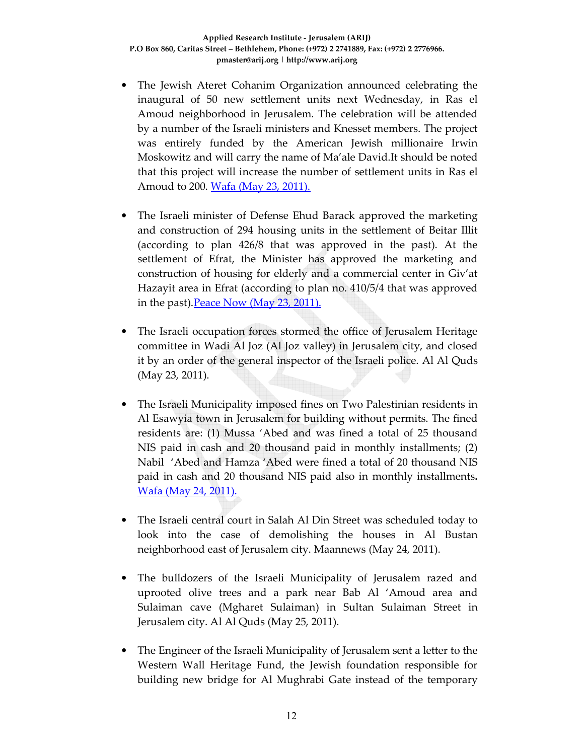- The Jewish Ateret Cohanim Organization announced celebrating the inaugural of 50 new settlement units next Wednesday, in Ras el Amoud neighborhood in Jerusalem. The celebration will be attended by a number of the Israeli ministers and Knesset members. The project was entirely funded by the American Jewish millionaire Irwin Moskowitz and will carry the name of Ma'ale David.It should be noted that this project will increase the number of settlement units in Ras el Amoud to 200. Wafa (May 23, 2011).
- The Israeli minister of Defense Ehud Barack approved the marketing and construction of 294 housing units in the settlement of Beitar Illit (according to plan 426/8 that was approved in the past). At the settlement of Efrat, the Minister has approved the marketing and construction of housing for elderly and a commercial center in Giv'at Hazayit area in Efrat (according to plan no. 410/5/4 that was approved in the past). Peace Now (May 23, 2011).
- The Israeli occupation forces stormed the office of Jerusalem Heritage committee in Wadi Al Joz (Al Joz valley) in Jerusalem city, and closed it by an order of the general inspector of the Israeli police. Al Al Quds (May 23, 2011).
- The Israeli Municipality imposed fines on Two Palestinian residents in Al Esawyia town in Jerusalem for building without permits. The fined residents are: (1) Mussa 'Abed and was fined a total of 25 thousand NIS paid in cash and 20 thousand paid in monthly installments; (2) Nabil 'Abed and Hamza 'Abed were fined a total of 20 thousand NIS paid in cash and 20 thousand NIS paid also in monthly installments**.**  Wafa (May 24, 2011).
- The Israeli central court in Salah Al Din Street was scheduled today to look into the case of demolishing the houses in Al Bustan neighborhood east of Jerusalem city. Maannews (May 24, 2011).
- The bulldozers of the Israeli Municipality of Jerusalem razed and uprooted olive trees and a park near Bab Al 'Amoud area and Sulaiman cave (Mgharet Sulaiman) in Sultan Sulaiman Street in Jerusalem city. Al Al Quds (May 25, 2011).
- The Engineer of the Israeli Municipality of Jerusalem sent a letter to the Western Wall Heritage Fund, the Jewish foundation responsible for building new bridge for Al Mughrabi Gate instead of the temporary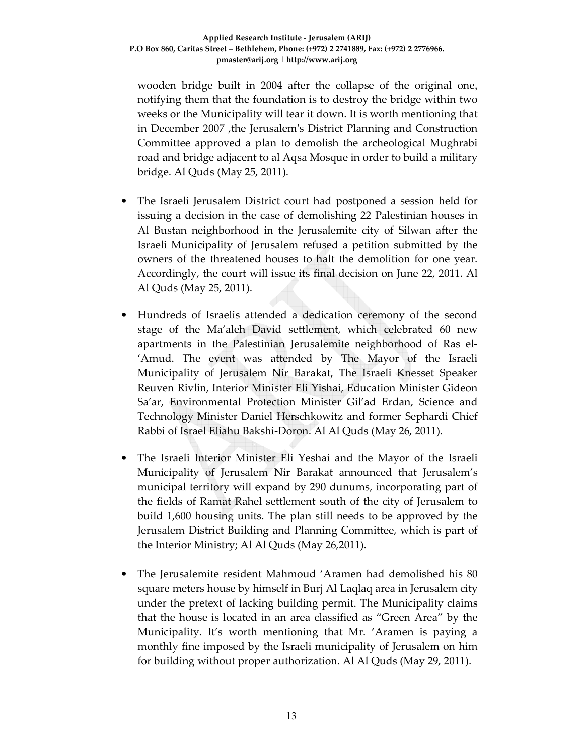wooden bridge built in 2004 after the collapse of the original one, notifying them that the foundation is to destroy the bridge within two weeks or the Municipality will tear it down. It is worth mentioning that in December 2007 ,the Jerusalem's District Planning and Construction Committee approved a plan to demolish the archeological Mughrabi road and bridge adjacent to al Aqsa Mosque in order to build a military bridge. Al Quds (May 25, 2011).

- The Israeli Jerusalem District court had postponed a session held for issuing a decision in the case of demolishing 22 Palestinian houses in Al Bustan neighborhood in the Jerusalemite city of Silwan after the Israeli Municipality of Jerusalem refused a petition submitted by the owners of the threatened houses to halt the demolition for one year. Accordingly, the court will issue its final decision on June 22, 2011. Al Al Quds (May 25, 2011).
- Hundreds of Israelis attended a dedication ceremony of the second stage of the Ma'aleh David settlement, which celebrated 60 new apartments in the Palestinian Jerusalemite neighborhood of Ras el- 'Amud. The event was attended by The Mayor of the Israeli Municipality of Jerusalem Nir Barakat, The Israeli Knesset Speaker Reuven Rivlin, Interior Minister Eli Yishai, Education Minister Gideon Sa'ar, Environmental Protection Minister Gil'ad Erdan, Science and Technology Minister Daniel Herschkowitz and former Sephardi Chief Rabbi of Israel Eliahu Bakshi-Doron. Al Al Quds (May 26, 2011).
- The Israeli Interior Minister Eli Yeshai and the Mayor of the Israeli Municipality of Jerusalem Nir Barakat announced that Jerusalem's municipal territory will expand by 290 dunums, incorporating part of the fields of Ramat Rahel settlement south of the city of Jerusalem to build 1,600 housing units. The plan still needs to be approved by the Jerusalem District Building and Planning Committee, which is part of the Interior Ministry; Al Al Quds (May 26,2011).
- The Jerusalemite resident Mahmoud 'Aramen had demolished his 80 square meters house by himself in Burj Al Laqlaq area in Jerusalem city under the pretext of lacking building permit. The Municipality claims that the house is located in an area classified as "Green Area" by the Municipality. It's worth mentioning that Mr. 'Aramen is paying a monthly fine imposed by the Israeli municipality of Jerusalem on him for building without proper authorization. Al Al Quds (May 29, 2011).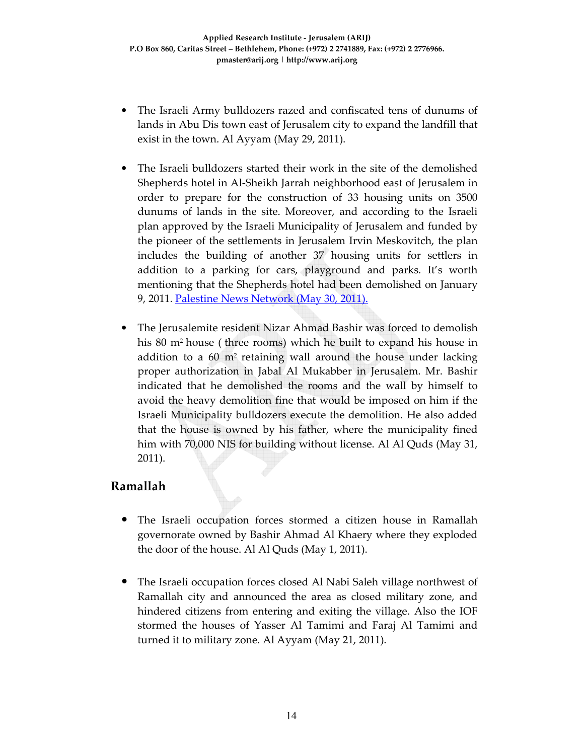- The Israeli Army bulldozers razed and confiscated tens of dunums of lands in Abu Dis town east of Jerusalem city to expand the landfill that exist in the town. Al Ayyam (May 29, 2011).
- The Israeli bulldozers started their work in the site of the demolished Shepherds hotel in Al-Sheikh Jarrah neighborhood east of Jerusalem in order to prepare for the construction of 33 housing units on 3500 dunums of lands in the site. Moreover, and according to the Israeli plan approved by the Israeli Municipality of Jerusalem and funded by the pioneer of the settlements in Jerusalem Irvin Meskovitch, the plan includes the building of another 37 housing units for settlers in addition to a parking for cars, playground and parks. It's worth mentioning that the Shepherds hotel had been demolished on January 9, 2011. Palestine News Network (May 30, 2011).
- The Jerusalemite resident Nizar Ahmad Bashir was forced to demolish his 80 m<sup>2</sup> house (three rooms) which he built to expand his house in addition to a  $60 \text{ m}^2$  retaining wall around the house under lacking proper authorization in Jabal Al Mukabber in Jerusalem. Mr. Bashir indicated that he demolished the rooms and the wall by himself to avoid the heavy demolition fine that would be imposed on him if the Israeli Municipality bulldozers execute the demolition. He also added that the house is owned by his father, where the municipality fined him with 70,000 NIS for building without license. Al Al Quds (May 31, 2011).

#### **Ramallah**

- The Israeli occupation forces stormed a citizen house in Ramallah governorate owned by Bashir Ahmad Al Khaery where they exploded the door of the house. Al Al Quds (May 1, 2011).
- The Israeli occupation forces closed Al Nabi Saleh village northwest of Ramallah city and announced the area as closed military zone, and hindered citizens from entering and exiting the village. Also the IOF stormed the houses of Yasser Al Tamimi and Faraj Al Tamimi and turned it to military zone. Al Ayyam (May 21, 2011).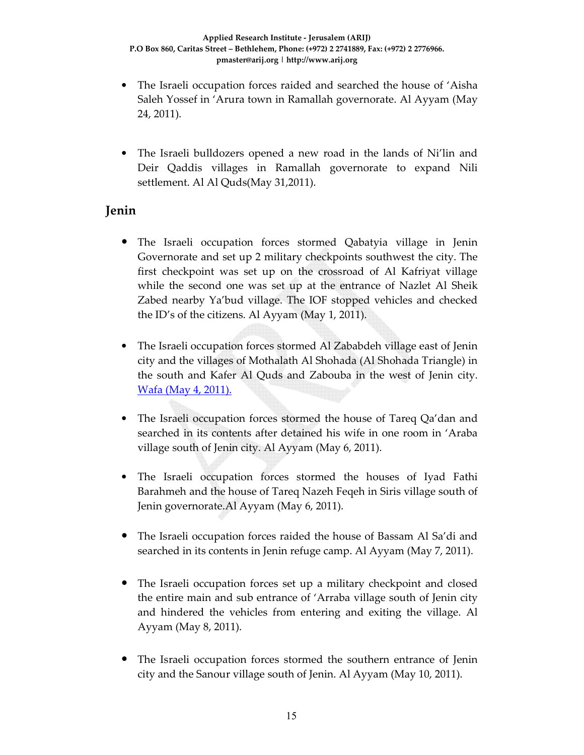- The Israeli occupation forces raided and searched the house of 'Aisha Saleh Yossef in 'Arura town in Ramallah governorate. Al Ayyam (May 24, 2011).
- The Israeli bulldozers opened a new road in the lands of Ni'lin and Deir Qaddis villages in Ramallah governorate to expand Nili settlement. Al Al Quds(May 31,2011).

### **Jenin**

- The Israeli occupation forces stormed Qabatyia village in Jenin Governorate and set up 2 military checkpoints southwest the city. The first checkpoint was set up on the crossroad of Al Kafriyat village while the second one was set up at the entrance of Nazlet Al Sheik Zabed nearby Ya'bud village. The IOF stopped vehicles and checked the ID's of the citizens. Al Ayyam (May 1, 2011).
- The Israeli occupation forces stormed Al Zababdeh village east of Jenin city and the villages of Mothalath Al Shohada (Al Shohada Triangle) in the south and Kafer Al Quds and Zabouba in the west of Jenin city. Wafa (May 4, 2011).
- The Israeli occupation forces stormed the house of Tareq Qa'dan and searched in its contents after detained his wife in one room in 'Araba village south of Jenin city. Al Ayyam (May 6, 2011).
- The Israeli occupation forces stormed the houses of Iyad Fathi Barahmeh and the house of Tareq Nazeh Feqeh in Siris village south of Jenin governorate.Al Ayyam (May 6, 2011).
- The Israeli occupation forces raided the house of Bassam Al Sa'di and searched in its contents in Jenin refuge camp. Al Ayyam (May 7, 2011).
- The Israeli occupation forces set up a military checkpoint and closed the entire main and sub entrance of 'Arraba village south of Jenin city and hindered the vehicles from entering and exiting the village. Al Ayyam (May 8, 2011).
- The Israeli occupation forces stormed the southern entrance of Jenin city and the Sanour village south of Jenin. Al Ayyam (May 10, 2011).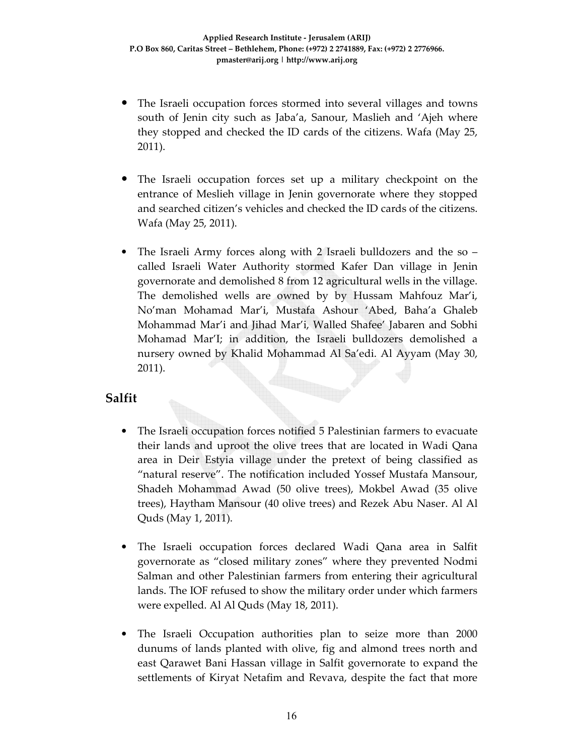- The Israeli occupation forces stormed into several villages and towns south of Jenin city such as Jaba'a, Sanour, Maslieh and 'Ajeh where they stopped and checked the ID cards of the citizens. Wafa (May 25, 2011).
- The Israeli occupation forces set up a military checkpoint on the entrance of Meslieh village in Jenin governorate where they stopped and searched citizen's vehicles and checked the ID cards of the citizens. Wafa (May 25, 2011).
- The Israeli Army forces along with 2 Israeli bulldozers and the so called Israeli Water Authority stormed Kafer Dan village in Jenin governorate and demolished 8 from 12 agricultural wells in the village. The demolished wells are owned by by Hussam Mahfouz Mar'i, No'man Mohamad Mar'i, Mustafa Ashour 'Abed, Baha'a Ghaleb Mohammad Mar'i and Jihad Mar'i, Walled Shafee' Jabaren and Sobhi Mohamad Mar'I; in addition, the Israeli bulldozers demolished a nursery owned by Khalid Mohammad Al Sa'edi. Al Ayyam (May 30, 2011).

#### **Salfit**

- The Israeli occupation forces notified 5 Palestinian farmers to evacuate their lands and uproot the olive trees that are located in Wadi Qana area in Deir Estyia village under the pretext of being classified as "natural reserve". The notification included Yossef Mustafa Mansour, Shadeh Mohammad Awad (50 olive trees), Mokbel Awad (35 olive trees), Haytham Mansour (40 olive trees) and Rezek Abu Naser. Al Al Quds (May 1, 2011).
- The Israeli occupation forces declared Wadi Qana area in Salfit governorate as "closed military zones" where they prevented Nodmi Salman and other Palestinian farmers from entering their agricultural lands. The IOF refused to show the military order under which farmers were expelled. Al Al Quds (May 18, 2011).
- The Israeli Occupation authorities plan to seize more than 2000 dunums of lands planted with olive, fig and almond trees north and east Qarawet Bani Hassan village in Salfit governorate to expand the settlements of Kiryat Netafim and Revava, despite the fact that more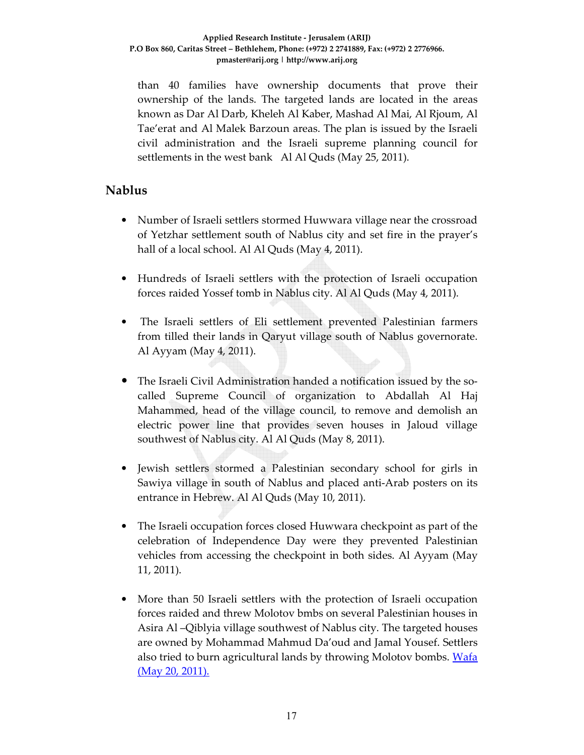than 40 families have ownership documents that prove their ownership of the lands. The targeted lands are located in the areas known as Dar Al Darb, Kheleh Al Kaber, Mashad Al Mai, Al Rjoum, Al Tae'erat and Al Malek Barzoun areas. The plan is issued by the Israeli civil administration and the Israeli supreme planning council for settlements in the west bank Al Al Quds (May 25, 2011).

#### **Nablus**

- Number of Israeli settlers stormed Huwwara village near the crossroad of Yetzhar settlement south of Nablus city and set fire in the prayer's hall of a local school. Al Al Quds (May 4, 2011).
- Hundreds of Israeli settlers with the protection of Israeli occupation forces raided Yossef tomb in Nablus city. Al Al Quds (May 4, 2011).
- The Israeli settlers of Eli settlement prevented Palestinian farmers from tilled their lands in Qaryut village south of Nablus governorate. Al Ayyam (May 4, 2011).
- The Israeli Civil Administration handed a notification issued by the socalled Supreme Council of organization to Abdallah Al Haj Mahammed, head of the village council, to remove and demolish an electric power line that provides seven houses in Jaloud village southwest of Nablus city. Al Al Quds (May 8, 2011).
- Jewish settlers stormed a Palestinian secondary school for girls in Sawiya village in south of Nablus and placed anti-Arab posters on its entrance in Hebrew. Al Al Quds (May 10, 2011).
- The Israeli occupation forces closed Huwwara checkpoint as part of the celebration of Independence Day were they prevented Palestinian vehicles from accessing the checkpoint in both sides. Al Ayyam (May 11, 2011).
- More than 50 Israeli settlers with the protection of Israeli occupation forces raided and threw Molotov bmbs on several Palestinian houses in Asira Al –Qiblyia village southwest of Nablus city. The targeted houses are owned by Mohammad Mahmud Da'oud and Jamal Yousef. Settlers also tried to burn agricultural lands by throwing Molotov bombs. Wafa (May 20, 2011).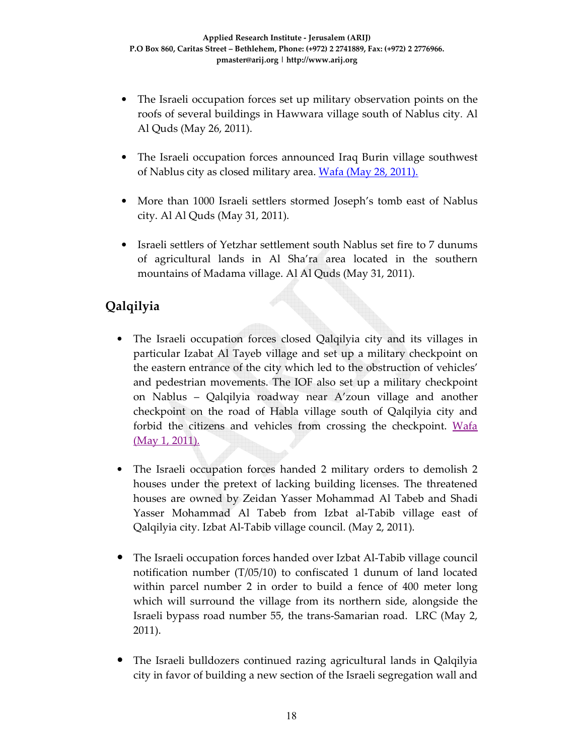- The Israeli occupation forces set up military observation points on the roofs of several buildings in Hawwara village south of Nablus city. Al Al Quds (May 26, 2011).
- The Israeli occupation forces announced Iraq Burin village southwest of Nablus city as closed military area. Wafa (May 28, 2011).
- More than 1000 Israeli settlers stormed Joseph's tomb east of Nablus city. Al Al Quds (May 31, 2011).
- Israeli settlers of Yetzhar settlement south Nablus set fire to 7 dunums of agricultural lands in Al Sha'ra area located in the southern mountains of Madama village. Al Al Quds (May 31, 2011).

# **Qalqilyia**

- The Israeli occupation forces closed Qalqilyia city and its villages in particular Izabat Al Tayeb village and set up a military checkpoint on the eastern entrance of the city which led to the obstruction of vehicles' and pedestrian movements. The IOF also set up a military checkpoint on Nablus – Qalqilyia roadway near A'zoun village and another checkpoint on the road of Habla village south of Qalqilyia city and forbid the citizens and vehicles from crossing the checkpoint. Wafa (May 1, 2011).
- The Israeli occupation forces handed 2 military orders to demolish 2 houses under the pretext of lacking building licenses. The threatened houses are owned by Zeidan Yasser Mohammad Al Tabeb and Shadi Yasser Mohammad Al Tabeb from Izbat al-Tabib village east of Qalqilyia city. Izbat Al-Tabib village council. (May 2, 2011).
- The Israeli occupation forces handed over Izbat Al-Tabib village council notification number (T/05/10) to confiscated 1 dunum of land located within parcel number 2 in order to build a fence of 400 meter long which will surround the village from its northern side, alongside the Israeli bypass road number 55, the trans-Samarian road. LRC (May 2, 2011).
- The Israeli bulldozers continued razing agricultural lands in Qalqilyia city in favor of building a new section of the Israeli segregation wall and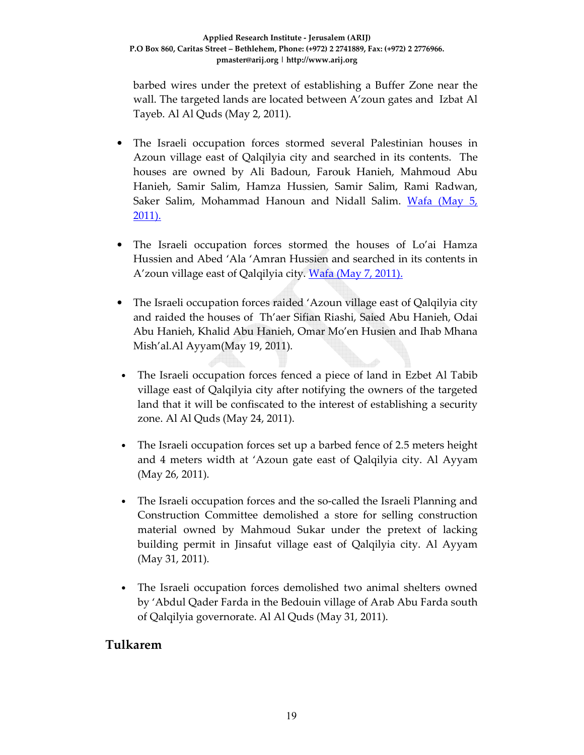barbed wires under the pretext of establishing a Buffer Zone near the wall. The targeted lands are located between A'zoun gates and Izbat Al Tayeb. Al Al Quds (May 2, 2011).

- The Israeli occupation forces stormed several Palestinian houses in Azoun village east of Qalqilyia city and searched in its contents. The houses are owned by Ali Badoun, Farouk Hanieh, Mahmoud Abu Hanieh, Samir Salim, Hamza Hussien, Samir Salim, Rami Radwan, Saker Salim, Mohammad Hanoun and Nidall Salim. Wafa (May 5, 2011).
- The Israeli occupation forces stormed the houses of Lo'ai Hamza Hussien and Abed 'Ala 'Amran Hussien and searched in its contents in A'zoun village east of Qalqilyia city. Wafa (May 7, 2011).
- The Israeli occupation forces raided 'Azoun village east of Qalqilyia city and raided the houses of Th'aer Sifian Riashi, Saied Abu Hanieh, Odai Abu Hanieh, Khalid Abu Hanieh, Omar Mo'en Husien and Ihab Mhana Mish'al.Al Ayyam(May 19, 2011).
- The Israeli occupation forces fenced a piece of land in Ezbet Al Tabib village east of Qalqilyia city after notifying the owners of the targeted land that it will be confiscated to the interest of establishing a security zone. Al Al Quds (May 24, 2011).
- The Israeli occupation forces set up a barbed fence of 2.5 meters height and 4 meters width at 'Azoun gate east of Qalqilyia city. Al Ayyam (May 26, 2011).
- The Israeli occupation forces and the so-called the Israeli Planning and Construction Committee demolished a store for selling construction material owned by Mahmoud Sukar under the pretext of lacking building permit in Jinsafut village east of Qalqilyia city. Al Ayyam (May 31, 2011).
- The Israeli occupation forces demolished two animal shelters owned by 'Abdul Qader Farda in the Bedouin village of Arab Abu Farda south of Qalqilyia governorate. Al Al Quds (May 31, 2011).

#### **Tulkarem**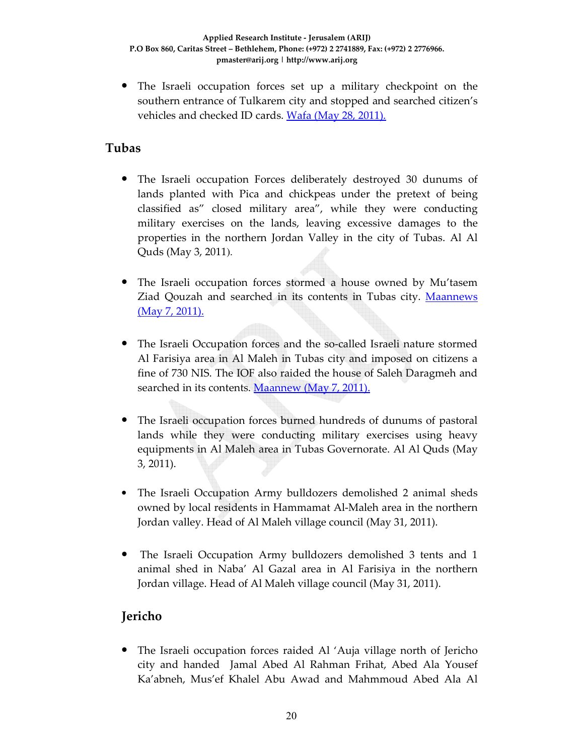• The Israeli occupation forces set up a military checkpoint on the southern entrance of Tulkarem city and stopped and searched citizen's vehicles and checked ID cards. Wafa (May 28, 2011).

### **Tubas**

- The Israeli occupation Forces deliberately destroyed 30 dunums of lands planted with Pica and chickpeas under the pretext of being classified as" closed military area", while they were conducting military exercises on the lands, leaving excessive damages to the properties in the northern Jordan Valley in the city of Tubas. Al Al Quds (May 3, 2011).
- The Israeli occupation forces stormed a house owned by Mu'tasem Ziad Qouzah and searched in its contents in Tubas city. Maannews (May 7, 2011).
- The Israeli Occupation forces and the so-called Israeli nature stormed Al Farisiya area in Al Maleh in Tubas city and imposed on citizens a fine of 730 NIS. The IOF also raided the house of Saleh Daragmeh and searched in its contents. Maannew (May 7, 2011).
- The Israeli occupation forces burned hundreds of dunums of pastoral lands while they were conducting military exercises using heavy equipments in Al Maleh area in Tubas Governorate. Al Al Quds (May 3, 2011).
- The Israeli Occupation Army bulldozers demolished 2 animal sheds owned by local residents in Hammamat Al-Maleh area in the northern Jordan valley. Head of Al Maleh village council (May 31, 2011).
- The Israeli Occupation Army bulldozers demolished 3 tents and 1 animal shed in Naba' Al Gazal area in Al Farisiya in the northern Jordan village. Head of Al Maleh village council (May 31, 2011).

# **Jericho**

• The Israeli occupation forces raided Al 'Auja village north of Jericho city and handed Jamal Abed Al Rahman Frihat, Abed Ala Yousef Ka'abneh, Mus'ef Khalel Abu Awad and Mahmmoud Abed Ala Al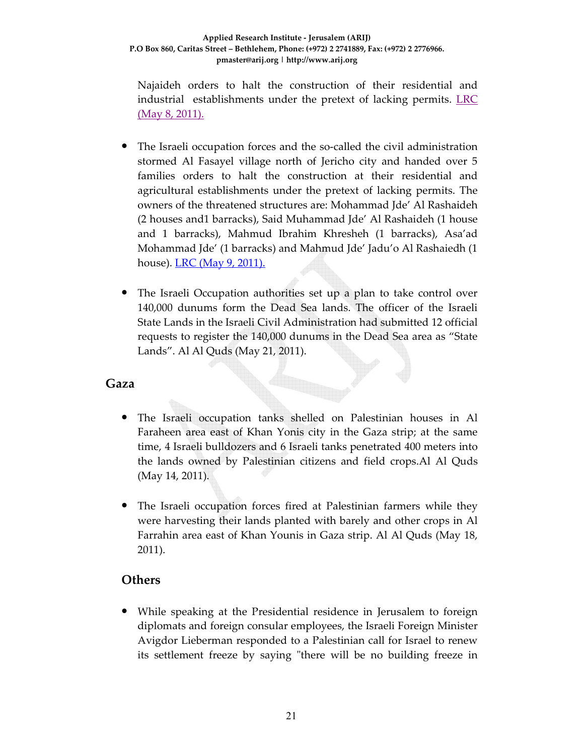Najaideh orders to halt the construction of their residential and industrial establishments under the pretext of lacking permits. LRC (May 8, 2011).

- The Israeli occupation forces and the so-called the civil administration stormed Al Fasayel village north of Jericho city and handed over 5 families orders to halt the construction at their residential and agricultural establishments under the pretext of lacking permits. The owners of the threatened structures are: Mohammad Jde' Al Rashaideh (2 houses and1 barracks), Said Muhammad Jde' Al Rashaideh (1 house and 1 barracks), Mahmud Ibrahim Khresheh (1 barracks), Asa'ad Mohammad Jde' (1 barracks) and Mahmud Jde' Jadu'o Al Rashaiedh (1 house). LRC (May 9, 2011).
- The Israeli Occupation authorities set up a plan to take control over 140,000 dunums form the Dead Sea lands. The officer of the Israeli State Lands in the Israeli Civil Administration had submitted 12 official requests to register the 140,000 dunums in the Dead Sea area as "State Lands". Al Al Quds (May 21, 2011).

#### **Gaza**

- The Israeli occupation tanks shelled on Palestinian houses in Al Faraheen area east of Khan Yonis city in the Gaza strip; at the same time, 4 Israeli bulldozers and 6 Israeli tanks penetrated 400 meters into the lands owned by Palestinian citizens and field crops.Al Al Quds (May 14, 2011).
- The Israeli occupation forces fired at Palestinian farmers while they were harvesting their lands planted with barely and other crops in Al Farrahin area east of Khan Younis in Gaza strip. Al Al Quds (May 18, 2011).

#### **Others**

• While speaking at the Presidential residence in Jerusalem to foreign diplomats and foreign consular employees, the Israeli Foreign Minister Avigdor Lieberman responded to a Palestinian call for Israel to renew its settlement freeze by saying "there will be no building freeze in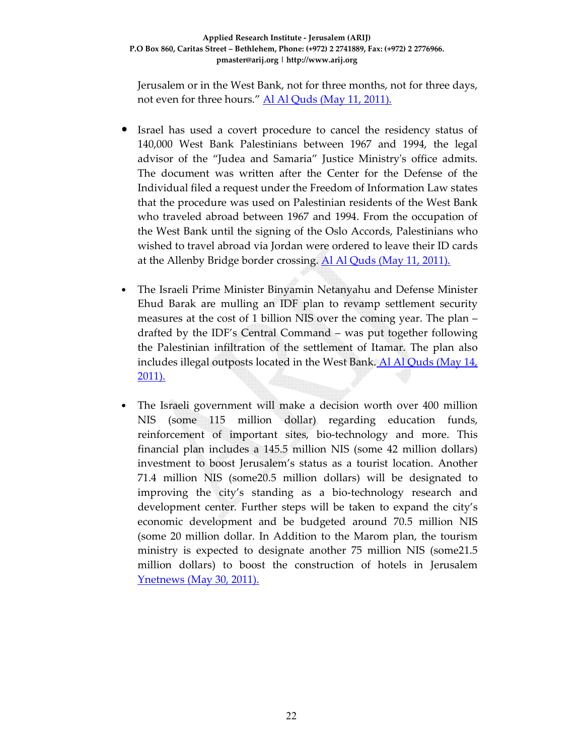Jerusalem or in the West Bank, not for three months, not for three days, not even for three hours." Al Al Quds (May 11, 2011).

- Israel has used a covert procedure to cancel the residency status of 140,000 West Bank Palestinians between 1967 and 1994, the legal advisor of the "Judea and Samaria" Justice Ministry's office admits. The document was written after the Center for the Defense of the Individual filed a request under the Freedom of Information Law states that the procedure was used on Palestinian residents of the West Bank who traveled abroad between 1967 and 1994. From the occupation of the West Bank until the signing of the Oslo Accords, Palestinians who wished to travel abroad via Jordan were ordered to leave their ID cards at the Allenby Bridge border crossing. Al Al Quds (May 11, 2011).
- The Israeli Prime Minister Binyamin Netanyahu and Defense Minister Ehud Barak are mulling an IDF plan to revamp settlement security measures at the cost of 1 billion NIS over the coming year. The plan – drafted by the IDF's Central Command – was put together following the Palestinian infiltration of the settlement of Itamar. The plan also includes illegal outposts located in the West Bank. Al Al Quds (May 14, 2011).
- The Israeli government will make a decision worth over 400 million NIS (some 115 million dollar) regarding education funds, reinforcement of important sites, bio-technology and more. This financial plan includes a 145.5 million NIS (some 42 million dollars) investment to boost Jerusalem's status as a tourist location. Another 71.4 million NIS (some20.5 million dollars) will be designated to improving the city's standing as a bio-technology research and development center. Further steps will be taken to expand the city's economic development and be budgeted around 70.5 million NIS (some 20 million dollar. In Addition to the Marom plan, the tourism ministry is expected to designate another 75 million NIS (some21.5 million dollars) to boost the construction of hotels in Jerusalem Ynetnews (May 30, 2011).